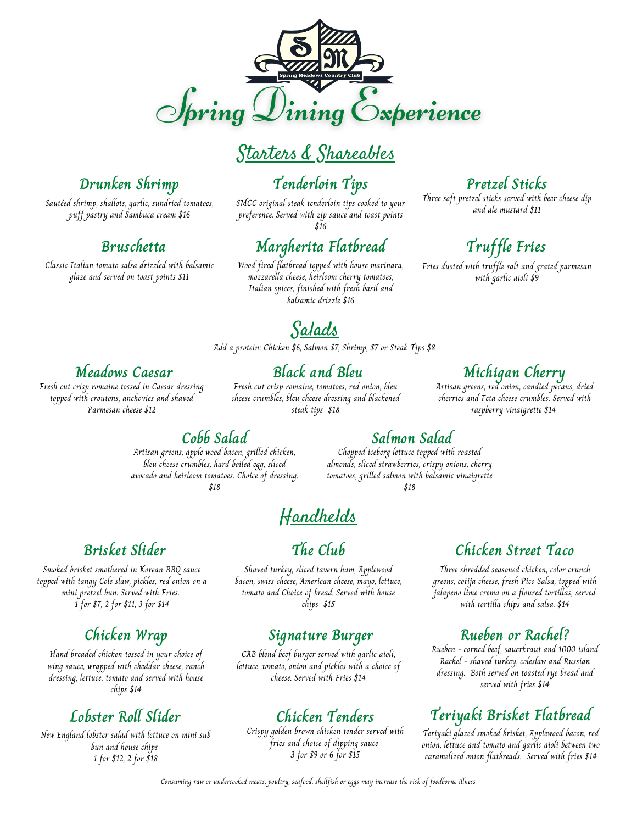

## Starters & Shareables

SMCC original steak tenderloin tips cooked to your preference. Served with zip sauce and toast points  $\tilde{316}$ 

**Tenderloin Tips**

#### **Margherita Flatbread**

Wood fired flatbread topped with house marinara, mozzarella cheese, heirloom cherry tomatoes, Italian spices, finished with fresh basil and balsamic drizzle \$16

#### **Pretzel Sticks**

Three soft pretzel sticks served with beer cheese dip and ale mustard \$11

## **Truffle Fries**

Fries dusted with truffle salt and grated parmesan with garlic aioli \$9

# **Drunken Shrimp**

Sautéed shrimp, shallots, garlic, sundried tomatoes, puff pastry and Sambuca cream \$16

#### **Bruschetta**

Classic Italian tomato salsa drizzled with balsamic glaze and served on toast points \$11

## Salads

Add a protein: Chicken \$6, Salmon \$7, Shrimp, \$7 or Steak Tips \$8

#### **Meadows Caesar**

Fresh cut crisp romaine tossed in Caesar dressing topped with croutons, anchovies and shaved Parmesan cheese \$12

#### **Black and Bleu**

Fresh cut crisp romaine, tomatoes, red onion, bleu cheese crumbles, bleu cheese dressing and blackened steak tips \$18

### **Michigan Cherry**

Artisan greens, red onion, candied pecans, dried cherries and Feta cheese crumbles. Served with raspberry vinaigrette \$14

#### **Cobb Salad**

Artisan greens, apple wood bacon, grilled chicken, bleu cheese crumbles, hard boiled egg, sliced avocado and heirloom tomatoes. Choice of dressing. \$18

## Handhelds

#### **Brisket Slider**

Smoked brisket smothered in Korean BBQ sauce topped with tangy Cole slaw, pickles, red onion on a mini pretzel bun. Served with Fries. 1 for \$7, 2 for \$11, 3 for \$14

#### **Chicken Wrap**

Hand breaded chicken tossed in your choice of wing sauce, wrapped with cheddar cheese, ranch dressing, lettuce, tomato and served with house chips \$14

## **Lobster Roll Slider**

New England lobster salad with lettuce on mini sub bun and house chips 1 for \$12, 2 for \$18

#### **The Club**

Shaved turkey, sliced tavern ham, Applewood bacon, swiss cheese, American cheese, mayo, lettuce, tomato and Choice of bread. Served with house chips \$15

#### **Signature Burger**

CAB blend beef burger served with garlic aioli, lettuce, tomato, onion and pickles with a choice of cheese. Served with Fries \$14

## **Chicken Tenders**

Crispy golden brown chicken tender served with fries and choice of dipping sauce 3 for \$9 or 6 for \$15

**Salmon Salad** Chopped iceberg lettuce topped with roasted almonds, sliced strawberries, crispy onions, cherry tomatoes, grilled salmon with balsamic vinaigrette \$18

#### **Chicken Street Taco**

Three shredded seasoned chicken, color crunch greens, cotija cheese, fresh Pico Salsa, topped with jalapeno lime crema on a floured tortillas, served with tortilla chips and salsa. \$14

#### **Rueben or Rachel?**

Rueben - corned beef, sauerkraut and 1000 island Rachel - shaved turkey, coleslaw and Russian dressing. Both served on toasted rye bread and served with fries \$14

## **Teriyaki Brisket Flatbread**

Teriyaki glazed smoked brisket, Applewood bacon, red onion, lettuce and tomato and garlic aioli between two caramelized onion flatbreads. Served with fries \$14

Consuming raw or undercooked meats, poultry, seafood, shellfish or eggs may increase the risk of foodborne illness